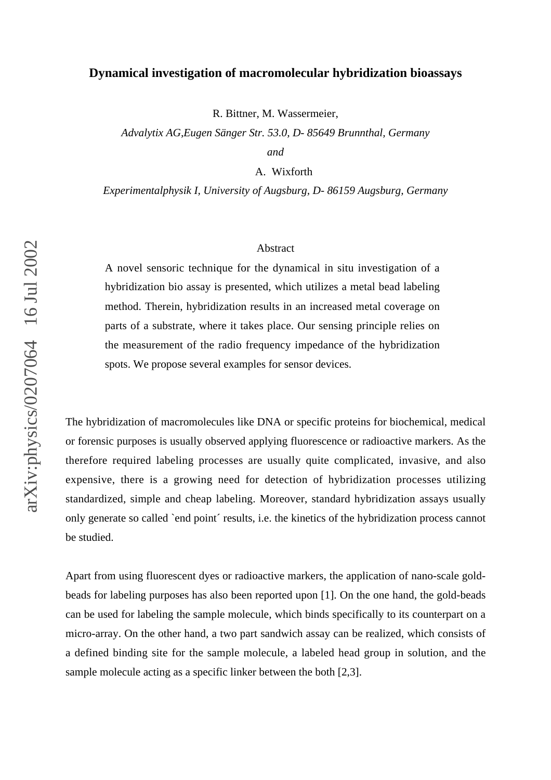## **Dynamical investigation of macromolecular hybridization bioassays**

R. Bittner, M. Wassermeier,

*Advalytix AG,Eugen Sänger Str. 53.0, D- 85649 Brunnthal, Germany and*

A. Wixforth

*Experimentalphysik I, University of Augsburg, D- 86159 Augsburg, Germany*

## Abstract

A novel sensoric technique for the dynamical in situ investigation of a hybridization bio assay is presented, which utilizes a metal bead labeling method. Therein, hybridization results in an increased metal coverage on parts of a substrate, where it takes place. Our sensing principle relies on the measurement of the radio frequency impedance of the hybridization spots. We propose several examples for sensor devices.

The hybridization of macromolecules like DNA or specific proteins for biochemical, medical or forensic purposes is usually observed applying fluorescence or radioactive markers. As the therefore required labeling processes are usually quite complicated, invasive, and also expensive, there is a growing need for detection of hybridization processes utilizing standardized, simple and cheap labeling. Moreover, standard hybridization assays usually only generate so called `end point´ results, i.e. the kinetics of the hybridization process cannot be studied.

Apart from using fluorescent dyes or radioactive markers, the application of nano-scale goldbeads for labeling purposes has also been reported upon [1]. On the one hand, the gold-beads can be used for labeling the sample molecule, which binds specifically to its counterpart on a micro-array. On the other hand, a two part sandwich assay can be realized, which consists of a defined binding site for the sample molecule, a labeled head group in solution, and the sample molecule acting as a specific linker between the both [2,3].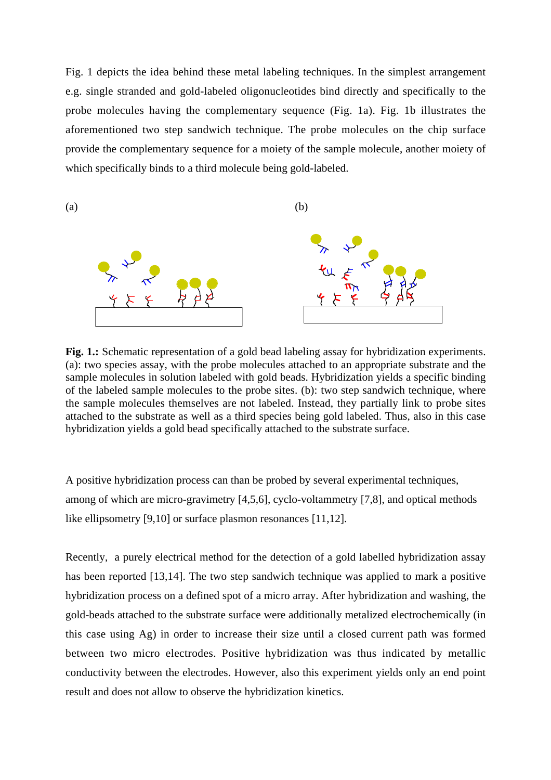Fig. 1 depicts the idea behind these metal labeling techniques. In the simplest arrangement e.g. single stranded and gold-labeled oligonucleotides bind directly and specifically to the probe molecules having the complementary sequence (Fig. 1a). Fig. 1b illustrates the aforementioned two step sandwich technique. The probe molecules on the chip surface provide the complementary sequence for a moiety of the sample molecule, another moiety of which specifically binds to a third molecule being gold-labeled.



**Fig. 1.:** Schematic representation of a gold bead labeling assay for hybridization experiments. (a): two species assay, with the probe molecules attached to an appropriate substrate and the sample molecules in solution labeled with gold beads. Hybridization yields a specific binding of the labeled sample molecules to the probe sites. (b): two step sandwich technique, where the sample molecules themselves are not labeled. Instead, they partially link to probe sites attached to the substrate as well as a third species being gold labeled. Thus, also in this case hybridization yields a gold bead specifically attached to the substrate surface.

A positive hybridization process can than be probed by several experimental techniques, among of which are micro-gravimetry [4,5,6], cyclo-voltammetry [7,8], and optical methods like ellipsometry [9,10] or surface plasmon resonances [11,12].

Recently, a purely electrical method for the detection of a gold labelled hybridization assay has been reported [13,14]. The two step sandwich technique was applied to mark a positive hybridization process on a defined spot of a micro array. After hybridization and washing, the gold-beads attached to the substrate surface were additionally metalized electrochemically (in this case using Ag) in order to increase their size until a closed current path was formed between two micro electrodes. Positive hybridization was thus indicated by metallic conductivity between the electrodes. However, also this experiment yields only an end point result and does not allow to observe the hybridization kinetics.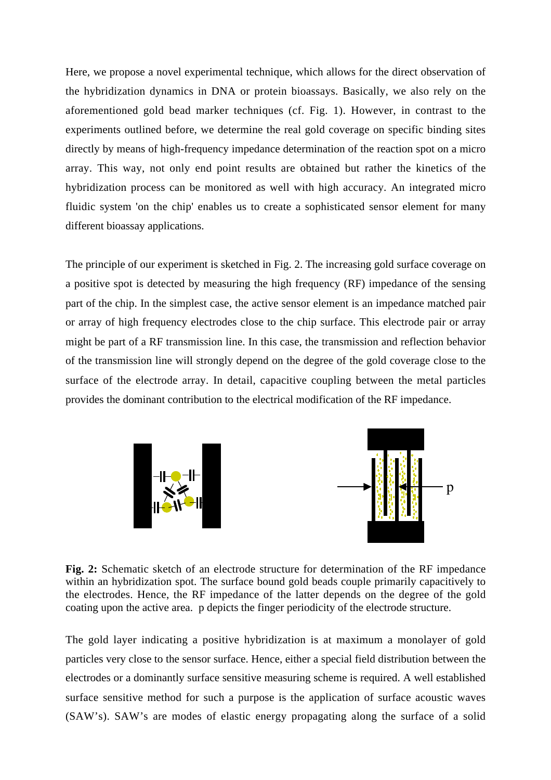Here, we propose a novel experimental technique, which allows for the direct observation of the hybridization dynamics in DNA or protein bioassays. Basically, we also rely on the aforementioned gold bead marker techniques (cf. Fig. 1). However, in contrast to the experiments outlined before, we determine the real gold coverage on specific binding sites directly by means of high-frequency impedance determination of the reaction spot on a micro array. This way, not only end point results are obtained but rather the kinetics of the hybridization process can be monitored as well with high accuracy. An integrated micro fluidic system 'on the chip' enables us to create a sophisticated sensor element for many different bioassay applications.

The principle of our experiment is sketched in Fig. 2. The increasing gold surface coverage on a positive spot is detected by measuring the high frequency (RF) impedance of the sensing part of the chip. In the simplest case, the active sensor element is an impedance matched pair or array of high frequency electrodes close to the chip surface. This electrode pair or array might be part of a RF transmission line. In this case, the transmission and reflection behavior of the transmission line will strongly depend on the degree of the gold coverage close to the surface of the electrode array. In detail, capacitive coupling between the metal particles provides the dominant contribution to the electrical modification of the RF impedance.



**Fig. 2:** Schematic sketch of an electrode structure for determination of the RF impedance within an hybridization spot. The surface bound gold beads couple primarily capacitively to the electrodes. Hence, the RF impedance of the latter depends on the degree of the gold coating upon the active area. p depicts the finger periodicity of the electrode structure.

The gold layer indicating a positive hybridization is at maximum a monolayer of gold particles very close to the sensor surface. Hence, either a special field distribution between the electrodes or a dominantly surface sensitive measuring scheme is required. A well established surface sensitive method for such a purpose is the application of surface acoustic waves (SAW's). SAW's are modes of elastic energy propagating along the surface of a solid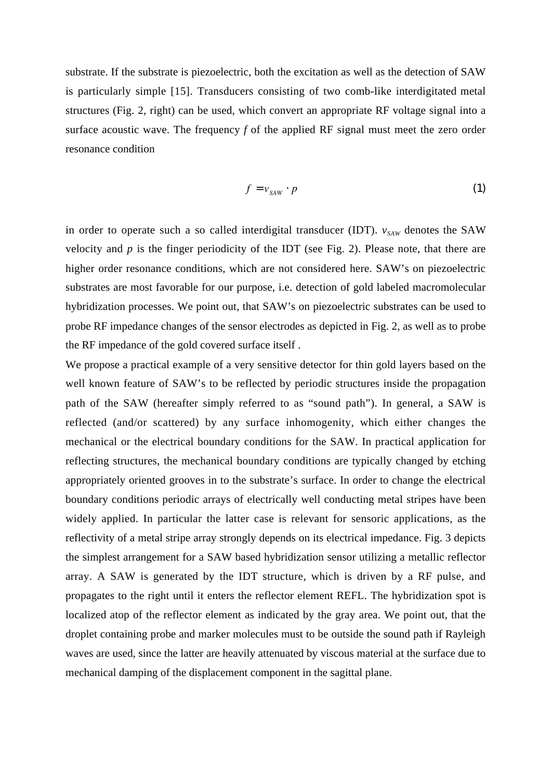substrate. If the substrate is piezoelectric, both the excitation as well as the detection of SAW is particularly simple [15]. Transducers consisting of two comb-like interdigitated metal structures (Fig. 2, right) can be used, which convert an appropriate RF voltage signal into a surface acoustic wave. The frequency *f* of the applied RF signal must meet the zero order resonance condition

$$
f = v_{SAW} \cdot p \tag{1}
$$

in order to operate such a so called interdigital transducer (IDT).  $v_{SAW}$  denotes the SAW velocity and *p* is the finger periodicity of the IDT (see Fig. 2). Please note, that there are higher order resonance conditions, which are not considered here. SAW's on piezoelectric substrates are most favorable for our purpose, i.e. detection of gold labeled macromolecular hybridization processes. We point out, that SAW's on piezoelectric substrates can be used to probe RF impedance changes of the sensor electrodes as depicted in Fig. 2, as well as to probe the RF impedance of the gold covered surface itself .

We propose a practical example of a very sensitive detector for thin gold layers based on the well known feature of SAW's to be reflected by periodic structures inside the propagation path of the SAW (hereafter simply referred to as "sound path"). In general, a SAW is reflected (and/or scattered) by any surface inhomogenity, which either changes the mechanical or the electrical boundary conditions for the SAW. In practical application for reflecting structures, the mechanical boundary conditions are typically changed by etching appropriately oriented grooves in to the substrate's surface. In order to change the electrical boundary conditions periodic arrays of electrically well conducting metal stripes have been widely applied. In particular the latter case is relevant for sensoric applications, as the reflectivity of a metal stripe array strongly depends on its electrical impedance. Fig. 3 depicts the simplest arrangement for a SAW based hybridization sensor utilizing a metallic reflector array. A SAW is generated by the IDT structure, which is driven by a RF pulse, and propagates to the right until it enters the reflector element REFL. The hybridization spot is localized atop of the reflector element as indicated by the gray area. We point out, that the droplet containing probe and marker molecules must to be outside the sound path if Rayleigh waves are used, since the latter are heavily attenuated by viscous material at the surface due to mechanical damping of the displacement component in the sagittal plane.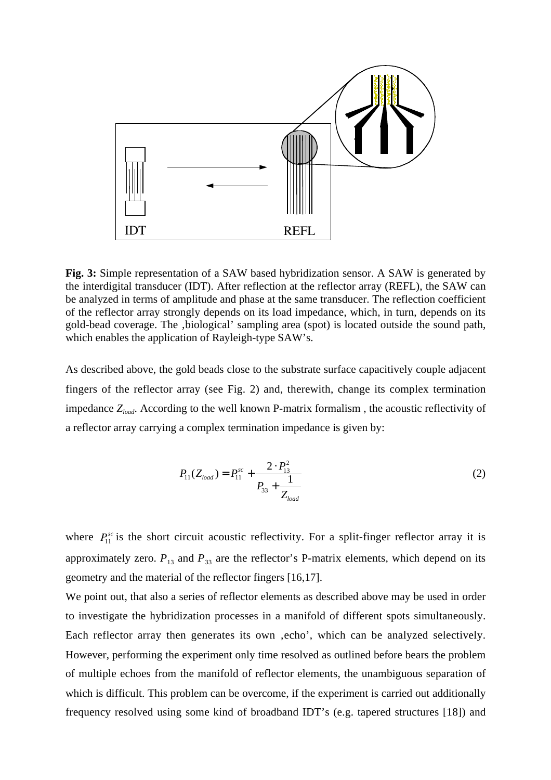

**Fig. 3:** Simple representation of a SAW based hybridization sensor. A SAW is generated by the interdigital transducer (IDT). After reflection at the reflector array (REFL), the SAW can be analyzed in terms of amplitude and phase at the same transducer. The reflection coefficient of the reflector array strongly depends on its load impedance, which, in turn, depends on its gold-bead coverage. The , biological' sampling area (spot) is located outside the sound path, which enables the application of Rayleigh-type SAW's.

As described above, the gold beads close to the substrate surface capacitively couple adjacent fingers of the reflector array (see Fig. 2) and, therewith, change its complex termination impedance *Zload*. According to the well known P-matrix formalism , the acoustic reflectivity of a reflector array carrying a complex termination impedance is given by:

$$
P_{11}(Z_{load}) = P_{11}^{sc} + \frac{2 \cdot P_{13}^2}{P_{33} + \frac{1}{Z_{load}}}
$$
 (2)

where  $P_{11}^{sc}$  is the short circuit acoustic reflectivity. For a split-finger reflector array it is approximately zero.  $P_{13}$  and  $P_{33}$  are the reflector's P-matrix elements, which depend on its geometry and the material of the reflector fingers [16,17].

We point out, that also a series of reflector elements as described above may be used in order to investigate the hybridization processes in a manifold of different spots simultaneously. Each reflector array then generates its own , echo', which can be analyzed selectively. However, performing the experiment only time resolved as outlined before bears the problem of multiple echoes from the manifold of reflector elements, the unambiguous separation of which is difficult. This problem can be overcome, if the experiment is carried out additionally frequency resolved using some kind of broadband IDT's (e.g. tapered structures [18]) and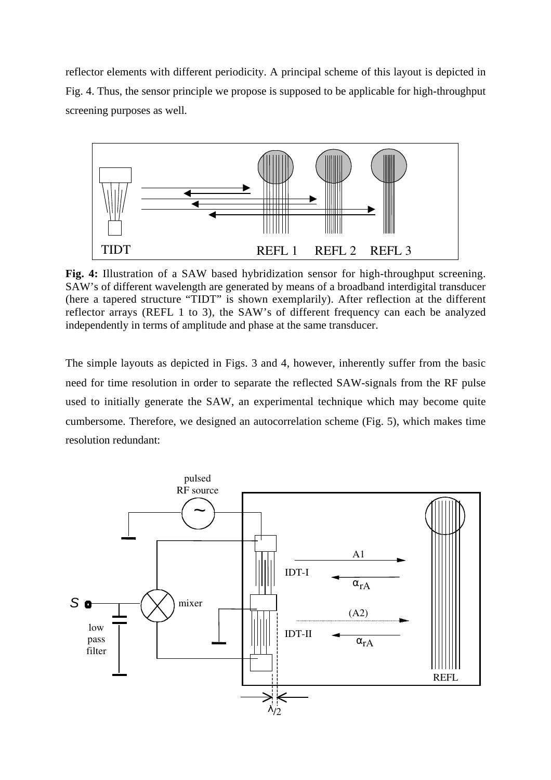reflector elements with different periodicity. A principal scheme of this layout is depicted in Fig. 4. Thus, the sensor principle we propose is supposed to be applicable for high-throughput screening purposes as well.



**Fig. 4:** Illustration of a SAW based hybridization sensor for high-throughput screening. SAW's of different wavelength are generated by means of a broadband interdigital transducer (here a tapered structure "TIDT" is shown exemplarily). After reflection at the different reflector arrays (REFL 1 to 3), the SAW's of different frequency can each be analyzed independently in terms of amplitude and phase at the same transducer.

The simple layouts as depicted in Figs. 3 and 4, however, inherently suffer from the basic need for time resolution in order to separate the reflected SAW-signals from the RF pulse used to initially generate the SAW, an experimental technique which may become quite cumbersome. Therefore, we designed an autocorrelation scheme (Fig. 5), which makes time resolution redundant:

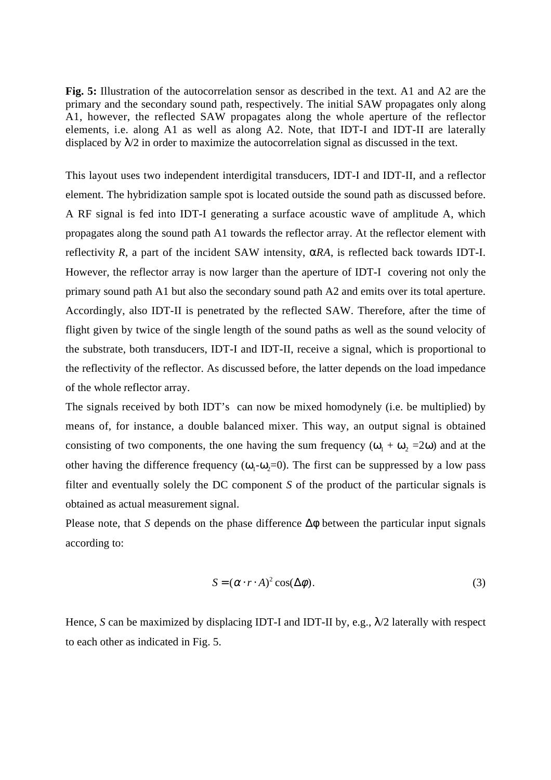**Fig. 5:** Illustration of the autocorrelation sensor as described in the text. A1 and A2 are the primary and the secondary sound path, respectively. The initial SAW propagates only along A1, however, the reflected SAW propagates along the whole aperture of the reflector elements, i.e. along A1 as well as along A2. Note, that IDT-I and IDT-II are laterally displaced by  $\lambda/2$  in order to maximize the autocorrelation signal as discussed in the text.

This layout uses two independent interdigital transducers, IDT-I and IDT-II, and a reflector element. The hybridization sample spot is located outside the sound path as discussed before. A RF signal is fed into IDT-I generating a surface acoustic wave of amplitude A, which propagates along the sound path A1 towards the reflector array. At the reflector element with reflectivity  $R$ , a part of the incident SAW intensity,  $\alpha RA$ , is reflected back towards IDT-I. However, the reflector array is now larger than the aperture of IDT-I covering not only the primary sound path A1 but also the secondary sound path A2 and emits over its total aperture. Accordingly, also IDT-II is penetrated by the reflected SAW. Therefore, after the time of flight given by twice of the single length of the sound paths as well as the sound velocity of the substrate, both transducers, IDT-I and IDT-II, receive a signal, which is proportional to the reflectivity of the reflector. As discussed before, the latter depends on the load impedance of the whole reflector array.

The signals received by both IDT's can now be mixed homodynely (i.e. be multiplied) by means of, for instance, a double balanced mixer. This way, an output signal is obtained consisting of two components, the one having the sum frequency  $(\omega_1 + \omega_2 = 2\omega)$  and at the other having the difference frequency  $(\omega_1 - \omega_2 = 0)$ . The first can be suppressed by a low pass filter and eventually solely the DC component *S* of the product of the particular signals is obtained as actual measurement signal.

Please note, that *S* depends on the phase difference  $\Delta\phi$  between the particular input signals according to:

$$
S = (\alpha \cdot r \cdot A)^2 \cos(\Delta \phi). \tag{3}
$$

Hence, *S* can be maximized by displacing IDT-I and IDT-II by, e.g.,  $\lambda/2$  laterally with respect to each other as indicated in Fig. 5.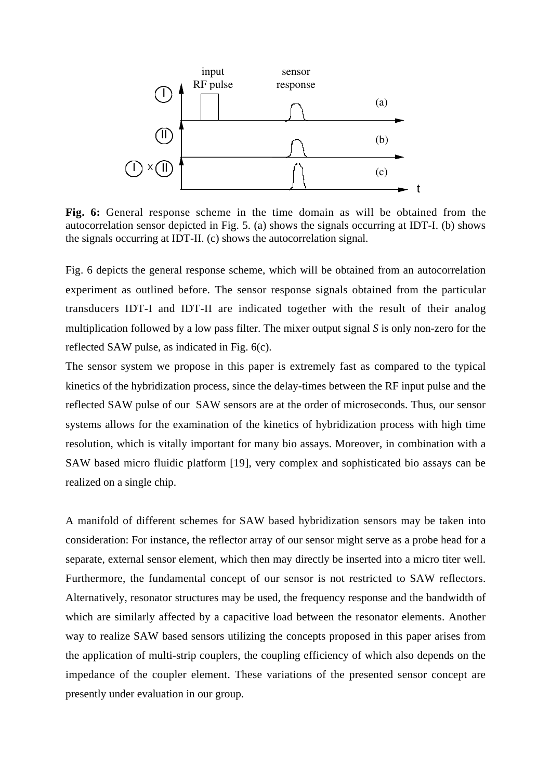

**Fig. 6:** General response scheme in the time domain as will be obtained from the autocorrelation sensor depicted in Fig. 5. (a) shows the signals occurring at IDT-I. (b) shows the signals occurring at IDT-II. (c) shows the autocorrelation signal.

Fig. 6 depicts the general response scheme, which will be obtained from an autocorrelation experiment as outlined before. The sensor response signals obtained from the particular transducers IDT-I and IDT-II are indicated together with the result of their analog multiplication followed by a low pass filter. The mixer output signal *S* is only non-zero for the reflected SAW pulse, as indicated in Fig. 6(c).

The sensor system we propose in this paper is extremely fast as compared to the typical kinetics of the hybridization process, since the delay-times between the RF input pulse and the reflected SAW pulse of our SAW sensors are at the order of microseconds. Thus, our sensor systems allows for the examination of the kinetics of hybridization process with high time resolution, which is vitally important for many bio assays. Moreover, in combination with a SAW based micro fluidic platform [19], very complex and sophisticated bio assays can be realized on a single chip.

A manifold of different schemes for SAW based hybridization sensors may be taken into consideration: For instance, the reflector array of our sensor might serve as a probe head for a separate, external sensor element, which then may directly be inserted into a micro titer well. Furthermore, the fundamental concept of our sensor is not restricted to SAW reflectors. Alternatively, resonator structures may be used, the frequency response and the bandwidth of which are similarly affected by a capacitive load between the resonator elements. Another way to realize SAW based sensors utilizing the concepts proposed in this paper arises from the application of multi-strip couplers, the coupling efficiency of which also depends on the impedance of the coupler element. These variations of the presented sensor concept are presently under evaluation in our group.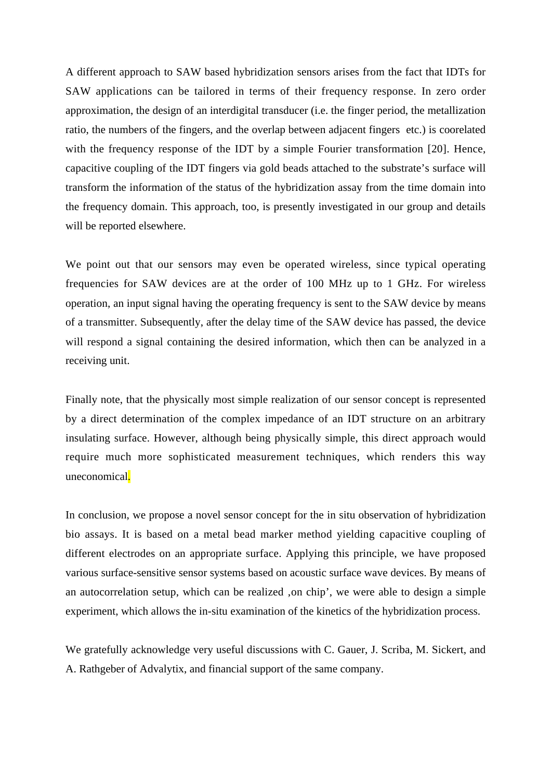A different approach to SAW based hybridization sensors arises from the fact that IDTs for SAW applications can be tailored in terms of their frequency response. In zero order approximation, the design of an interdigital transducer (i.e. the finger period, the metallization ratio, the numbers of the fingers, and the overlap between adjacent fingers etc.) is coorelated with the frequency response of the IDT by a simple Fourier transformation [20]. Hence, capacitive coupling of the IDT fingers via gold beads attached to the substrate's surface will transform the information of the status of the hybridization assay from the time domain into the frequency domain. This approach, too, is presently investigated in our group and details will be reported elsewhere.

We point out that our sensors may even be operated wireless, since typical operating frequencies for SAW devices are at the order of 100 MHz up to 1 GHz. For wireless operation, an input signal having the operating frequency is sent to the SAW device by means of a transmitter. Subsequently, after the delay time of the SAW device has passed, the device will respond a signal containing the desired information, which then can be analyzed in a receiving unit.

Finally note, that the physically most simple realization of our sensor concept is represented by a direct determination of the complex impedance of an IDT structure on an arbitrary insulating surface. However, although being physically simple, this direct approach would require much more sophisticated measurement techniques, which renders this way uneconomical.

In conclusion, we propose a novel sensor concept for the in situ observation of hybridization bio assays. It is based on a metal bead marker method yielding capacitive coupling of different electrodes on an appropriate surface. Applying this principle, we have proposed various surface-sensitive sensor systems based on acoustic surface wave devices. By means of an autocorrelation setup, which can be realized ,on chip', we were able to design a simple experiment, which allows the in-situ examination of the kinetics of the hybridization process.

We gratefully acknowledge very useful discussions with C. Gauer, J. Scriba, M. Sickert, and A. Rathgeber of Advalytix, and financial support of the same company.